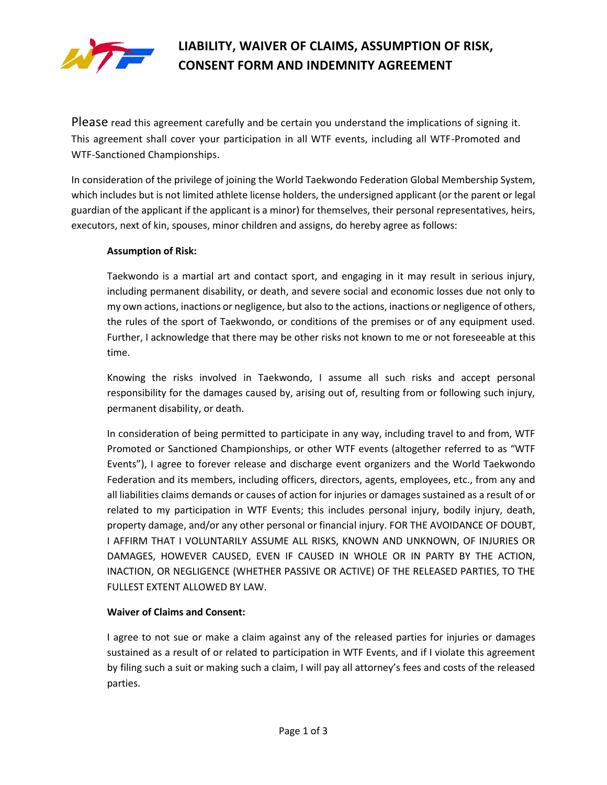

# **LIABILITY, WAIVER OF CLAIMS, ASSUMPTION OF RISK, CONSENT FORM AND INDEMNITY AGREEMENT**

Please read this agreement carefully and be certain you understand the implications of signing it. This agreement shall cover your participation in all WTF events, including all WTF-Promoted and WTF-Sanctioned Championships.

In consideration of the privilege of joining the World Taekwondo Federation Global Membership System, which includes but is not limited athlete license holders, the undersigned applicant (or the parent or legal guardian of the applicant if the applicant is a minor) for themselves, their personal representatives, heirs, executors, next of kin, spouses, minor children and assigns, do hereby agree as follows:

### **Assumption of Risk:**

Taekwondo is a martial art and contact sport, and engaging in it may result in serious injury, including permanent disability, or death, and severe social and economic losses due not only to my own actions, inactions or negligence, but also to the actions, inactions or negligence of others, the rules of the sport of Taekwondo, or conditions of the premises or of any equipment used. Further, I acknowledge that there may be other risks not known to me or not foreseeable at this time.

Knowing the risks involved in Taekwondo, I assume all such risks and accept personal responsibility for the damages caused by, arising out of, resulting from or following such injury, permanent disability, or death.

In consideration of being permitted to participate in any way, including travel to and from, WTF Promoted or Sanctioned Championships, or other WTF events (altogether referred to as "WTF Events"), I agree to forever release and discharge event organizers and the World Taekwondo Federation and its members, including officers, directors, agents, employees, etc., from any and all liabilities claims demands or causes of action for injuries or damages sustained as a result of or related to my participation in WTF Events; this includes personal injury, bodily injury, death, property damage, and/or any other personal or financial injury. FOR THE AVOIDANCE OF DOUBT, I AFFIRM THAT I VOLUNTARILY ASSUME ALL RISKS, KNOWN AND UNKNOWN, OF INJURIES OR DAMAGES, HOWEVER CAUSED, EVEN IF CAUSED IN WHOLE OR IN PARTY BY THE ACTION, INACTION, OR NEGLIGENCE (WHETHER PASSIVE OR ACTIVE) OF THE RELEASED PARTIES, TO THE FULLEST EXTENT ALLOWED BY LAW.

### **Waiver of Claims and Consent:**

I agree to not sue or make a claim against any of the released parties for injuries or damages sustained as a result of or related to participation in WTF Events, and if I violate this agreement by filing such a suit or making such a claim, I will pay all attorney's fees and costs of the released parties.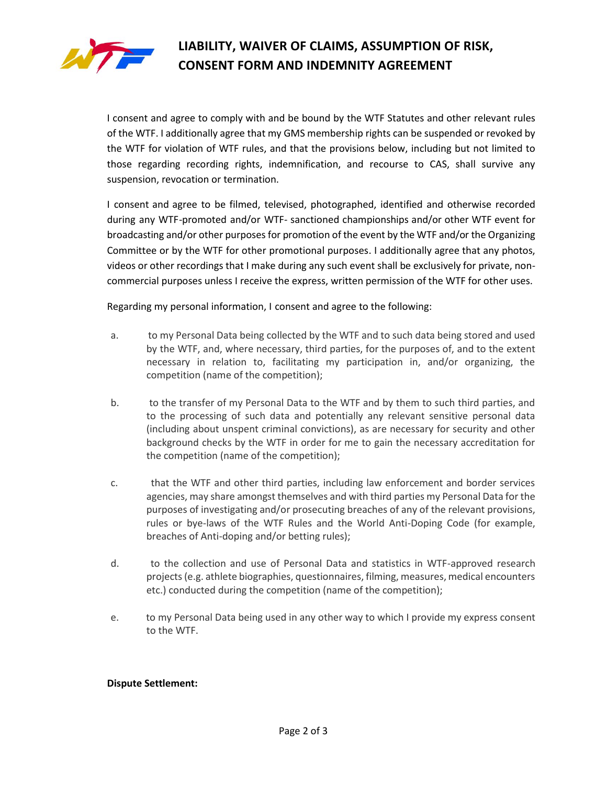

# **LIABILITY, WAIVER OF CLAIMS, ASSUMPTION OF RISK, CONSENT FORM AND INDEMNITY AGREEMENT**

I consent and agree to comply with and be bound by the WTF Statutes and other relevant rules of the WTF. I additionally agree that my GMS membership rights can be suspended or revoked by the WTF for violation of WTF rules, and that the provisions below, including but not limited to those regarding recording rights, indemnification, and recourse to CAS, shall survive any suspension, revocation or termination.

I consent and agree to be filmed, televised, photographed, identified and otherwise recorded during any WTF-promoted and/or WTF- sanctioned championships and/or other WTF event for broadcasting and/or other purposes for promotion of the event by the WTF and/or the Organizing Committee or by the WTF for other promotional purposes. I additionally agree that any photos, videos or other recordings that I make during any such event shall be exclusively for private, noncommercial purposes unless I receive the express, written permission of the WTF for other uses.

Regarding my personal information, I consent and agree to the following:

- a. to my Personal Data being collected by the WTF and to such data being stored and used by the WTF, and, where necessary, third parties, for the purposes of, and to the extent necessary in relation to, facilitating my participation in, and/or organizing, the competition (name of the competition);
- b. to the transfer of my Personal Data to the WTF and by them to such third parties, and to the processing of such data and potentially any relevant sensitive personal data (including about unspent criminal convictions), as are necessary for security and other background checks by the WTF in order for me to gain the necessary accreditation for the competition (name of the competition);
- c. that the WTF and other third parties, including law enforcement and border services agencies, may share amongst themselves and with third parties my Personal Data for the purposes of investigating and/or prosecuting breaches of any of the relevant provisions, rules or bye-laws of the WTF Rules and the World Anti-Doping Code (for example, breaches of Anti-doping and/or betting rules);
- d. to the collection and use of Personal Data and statistics in WTF-approved research projects (e.g. athlete biographies, questionnaires, filming, measures, medical encounters etc.) conducted during the competition (name of the competition);
- e. to my Personal Data being used in any other way to which I provide my express consent to the WTF.

### **Dispute Settlement:**